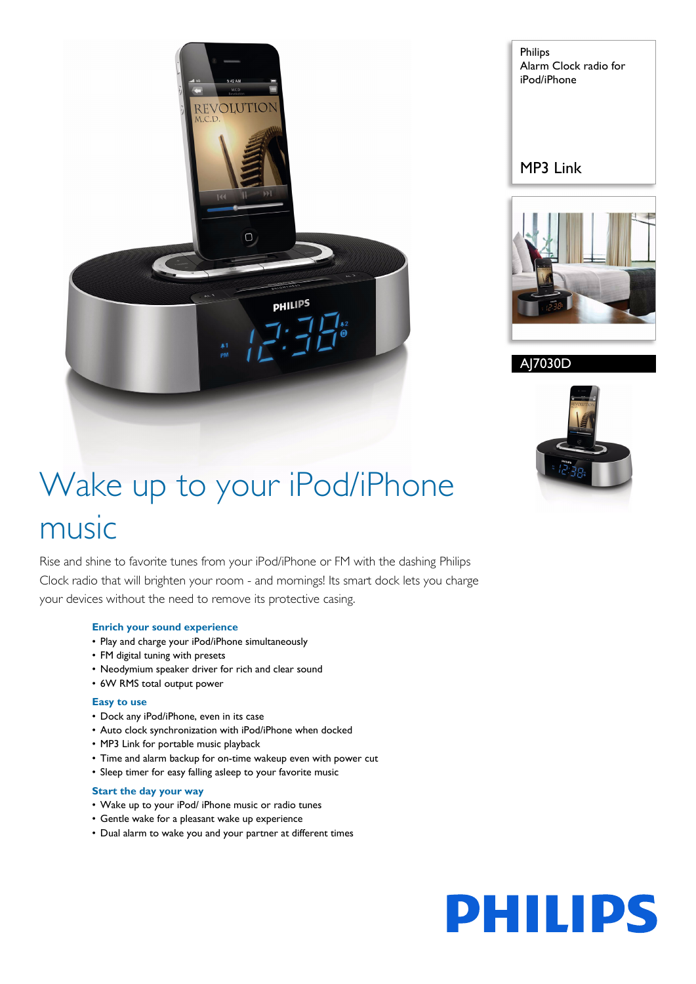

Philips Alarm Clock radio for iPod/iPhone

MP3 Link



AJ7030D



# Wake up to your iPod/iPhone music

Rise and shine to favorite tunes from your iPod/iPhone or FM with the dashing Philips Clock radio that will brighten your room - and mornings! Its smart dock lets you charge your devices without the need to remove its protective casing.

### **Enrich your sound experience**

- Play and charge your iPod/iPhone simultaneously
- FM digital tuning with presets
- Neodymium speaker driver for rich and clear sound
- 6W RMS total output power

#### **Easy to use**

- Dock any iPod/iPhone, even in its case
- Auto clock synchronization with iPod/iPhone when docked
- MP3 Link for portable music playback
- Time and alarm backup for on-time wakeup even with power cut
- Sleep timer for easy falling asleep to your favorite music

#### **Start the day your way**

- Wake up to your iPod/ iPhone music or radio tunes
- Gentle wake for a pleasant wake up experience
- Dual alarm to wake you and your partner at different times

**PHILIPS**